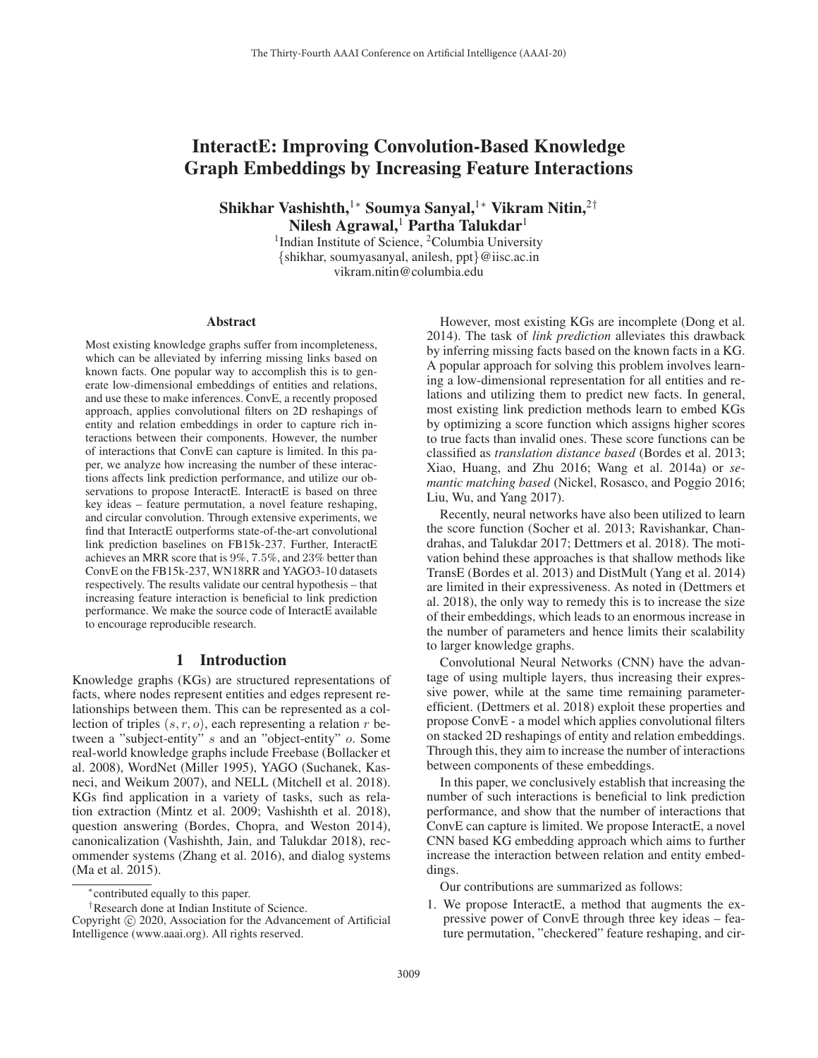# InteractE: Improving Convolution-Based Knowledge Graph Embeddings by Increasing Feature Interactions

Shikhar Vashishth,<sup>1</sup>\* Soumya Sanyal,<sup>1</sup>\* Vikram Nitin,<sup>2†</sup> Nilesh Agrawal,<sup>1</sup> Partha Talukdar<sup>1</sup>

<sup>1</sup>Indian Institute of Science, <sup>2</sup>Columbia University {shikhar, soumyasanyal, anilesh, ppt}@iisc.ac.in vikram.nitin@columbia.edu

#### **Abstract**

Most existing knowledge graphs suffer from incompleteness, which can be alleviated by inferring missing links based on known facts. One popular way to accomplish this is to generate low-dimensional embeddings of entities and relations, and use these to make inferences. ConvE, a recently proposed approach, applies convolutional filters on 2D reshapings of entity and relation embeddings in order to capture rich interactions between their components. However, the number of interactions that ConvE can capture is limited. In this paper, we analyze how increasing the number of these interactions affects link prediction performance, and utilize our observations to propose InteractE. InteractE is based on three key ideas – feature permutation, a novel feature reshaping, and circular convolution. Through extensive experiments, we find that InteractE outperforms state-of-the-art convolutional link prediction baselines on FB15k-237. Further, InteractE achieves an MRR score that is 9%, 7.5%, and 23% better than ConvE on the FB15k-237, WN18RR and YAGO3-10 datasets respectively. The results validate our central hypothesis – that increasing feature interaction is beneficial to link prediction performance. We make the source code of InteractE available to encourage reproducible research.

# 1 Introduction

Knowledge graphs (KGs) are structured representations of facts, where nodes represent entities and edges represent relationships between them. This can be represented as a collection of triples  $(s, r, o)$ , each representing a relation r between a "subject-entity" s and an "object-entity" o. Some real-world knowledge graphs include Freebase (Bollacker et al. 2008), WordNet (Miller 1995), YAGO (Suchanek, Kasneci, and Weikum 2007), and NELL (Mitchell et al. 2018). KGs find application in a variety of tasks, such as relation extraction (Mintz et al. 2009; Vashishth et al. 2018), question answering (Bordes, Chopra, and Weston 2014), canonicalization (Vashishth, Jain, and Talukdar 2018), recommender systems (Zhang et al. 2016), and dialog systems (Ma et al. 2015).

However, most existing KGs are incomplete (Dong et al. 2014). The task of *link prediction* alleviates this drawback by inferring missing facts based on the known facts in a KG. A popular approach for solving this problem involves learning a low-dimensional representation for all entities and relations and utilizing them to predict new facts. In general, most existing link prediction methods learn to embed KGs by optimizing a score function which assigns higher scores to true facts than invalid ones. These score functions can be classified as *translation distance based* (Bordes et al. 2013; Xiao, Huang, and Zhu 2016; Wang et al. 2014a) or *semantic matching based* (Nickel, Rosasco, and Poggio 2016; Liu, Wu, and Yang 2017).

Recently, neural networks have also been utilized to learn the score function (Socher et al. 2013; Ravishankar, Chandrahas, and Talukdar 2017; Dettmers et al. 2018). The motivation behind these approaches is that shallow methods like TransE (Bordes et al. 2013) and DistMult (Yang et al. 2014) are limited in their expressiveness. As noted in (Dettmers et al. 2018), the only way to remedy this is to increase the size of their embeddings, which leads to an enormous increase in the number of parameters and hence limits their scalability to larger knowledge graphs.

Convolutional Neural Networks (CNN) have the advantage of using multiple layers, thus increasing their expressive power, while at the same time remaining parameterefficient. (Dettmers et al. 2018) exploit these properties and propose ConvE - a model which applies convolutional filters on stacked 2D reshapings of entity and relation embeddings. Through this, they aim to increase the number of interactions between components of these embeddings.

In this paper, we conclusively establish that increasing the number of such interactions is beneficial to link prediction performance, and show that the number of interactions that ConvE can capture is limited. We propose InteractE, a novel CNN based KG embedding approach which aims to further increase the interaction between relation and entity embeddings.

Our contributions are summarized as follows:

1. We propose InteractE, a method that augments the expressive power of ConvE through three key ideas – feature permutation, "checkered" feature reshaping, and cir-

<sup>∗</sup>contributed equally to this paper.

<sup>†</sup>Research done at Indian Institute of Science.

Copyright  $\odot$  2020, Association for the Advancement of Artificial Intelligence (www.aaai.org). All rights reserved.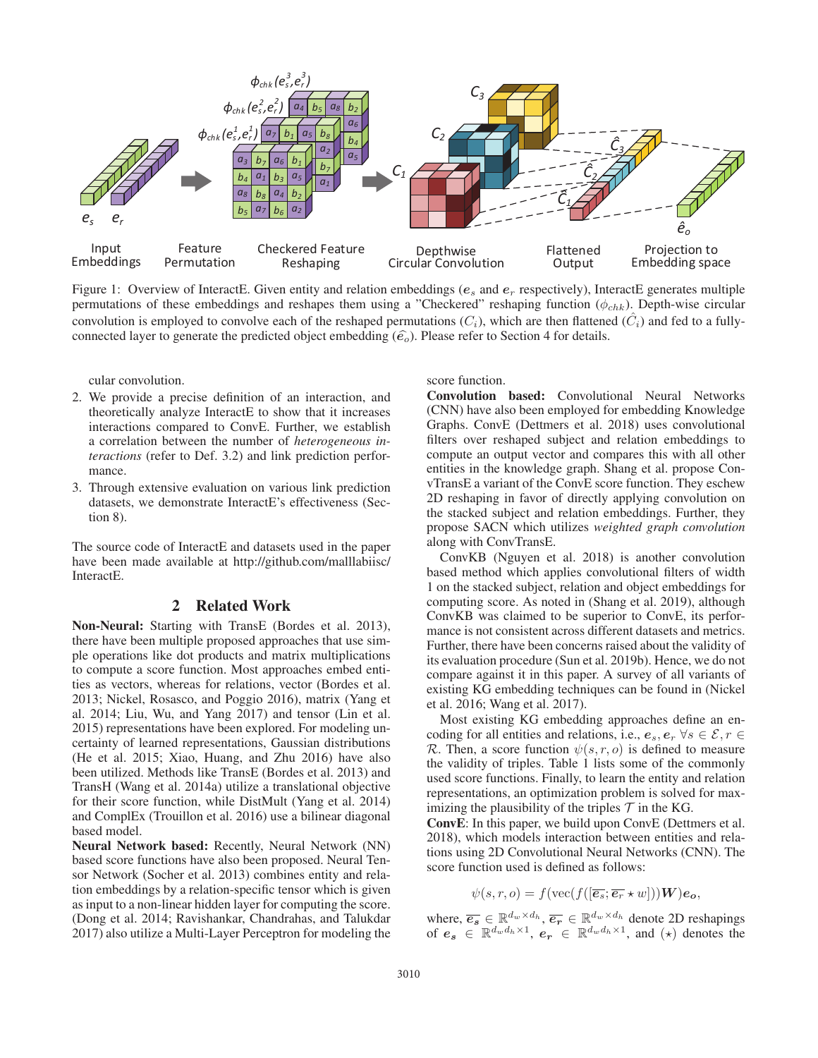

Figure 1: Overview of InteractE. Given entity and relation embeddings ( $e_s$  and  $e_r$  respectively), InteractE generates multiple permutations of these embeddings and reshapes them using a "Checkered" reshaping function ( $\phi_{chk}$ ). Depth-wise circular convolution is employed to convolve each of the reshaped permutations  $(C_i)$ , which are then flattened  $(C_i)$  and fed to a fullyconnected layer to generate the predicted object embedding  $(\hat{e}_o)$ . Please refer to Section 4 for details.

cular convolution.

- 2. We provide a precise definition of an interaction, and theoretically analyze InteractE to show that it increases interactions compared to ConvE. Further, we establish a correlation between the number of *heterogeneous interactions* (refer to Def. 3.2) and link prediction performance.
- 3. Through extensive evaluation on various link prediction datasets, we demonstrate InteractE's effectiveness (Section 8).

The source code of InteractE and datasets used in the paper have been made available at http://github.com/malllabiisc/ InteractE.

### 2 Related Work

Non-Neural: Starting with TransE (Bordes et al. 2013), there have been multiple proposed approaches that use simple operations like dot products and matrix multiplications to compute a score function. Most approaches embed entities as vectors, whereas for relations, vector (Bordes et al. 2013; Nickel, Rosasco, and Poggio 2016), matrix (Yang et al. 2014; Liu, Wu, and Yang 2017) and tensor (Lin et al. 2015) representations have been explored. For modeling uncertainty of learned representations, Gaussian distributions (He et al. 2015; Xiao, Huang, and Zhu 2016) have also been utilized. Methods like TransE (Bordes et al. 2013) and TransH (Wang et al. 2014a) utilize a translational objective for their score function, while DistMult (Yang et al. 2014) and ComplEx (Trouillon et al. 2016) use a bilinear diagonal based model.

Neural Network based: Recently, Neural Network (NN) based score functions have also been proposed. Neural Tensor Network (Socher et al. 2013) combines entity and relation embeddings by a relation-specific tensor which is given as input to a non-linear hidden layer for computing the score. (Dong et al. 2014; Ravishankar, Chandrahas, and Talukdar 2017) also utilize a Multi-Layer Perceptron for modeling the

score function.

Convolution based: Convolutional Neural Networks (CNN) have also been employed for embedding Knowledge Graphs. ConvE (Dettmers et al. 2018) uses convolutional filters over reshaped subject and relation embeddings to compute an output vector and compares this with all other entities in the knowledge graph. Shang et al. propose ConvTransE a variant of the ConvE score function. They eschew 2D reshaping in favor of directly applying convolution on the stacked subject and relation embeddings. Further, they propose SACN which utilizes *weighted graph convolution* along with ConvTransE.

ConvKB (Nguyen et al. 2018) is another convolution based method which applies convolutional filters of width 1 on the stacked subject, relation and object embeddings for computing score. As noted in (Shang et al. 2019), although ConvKB was claimed to be superior to ConvE, its performance is not consistent across different datasets and metrics. Further, there have been concerns raised about the validity of its evaluation procedure (Sun et al. 2019b). Hence, we do not compare against it in this paper. A survey of all variants of existing KG embedding techniques can be found in (Nickel et al. 2016; Wang et al. 2017).

Most existing KG embedding approaches define an encoding for all entities and relations, i.e.,  $e_s, e_r \ \forall s \in \mathcal{E}, r \in$ R. Then, a score function  $\psi(s, r, o)$  is defined to measure the validity of triples. Table 1 lists some of the commonly used score functions. Finally, to learn the entity and relation representations, an optimization problem is solved for maximizing the plausibility of the triples  $\mathcal T$  in the KG.

ConvE: In this paper, we build upon ConvE (Dettmers et al. 2018), which models interaction between entities and relations using 2D Convolutional Neural Networks (CNN). The score function used is defined as follows:

$$
\psi(s,r,o) = f(\text{vec}(f([\overline{e_s}; \overline{e_r} \star w]))\mathbf{W})\mathbf{e_o},
$$

where,  $\overline{e_s} \in \mathbb{R}^{d_w \times d_h}, \overline{e_r} \in \mathbb{R}^{d_w \times d_h}$  denote 2D reshapings of  $e_s \in \mathbb{R}^{d_w d_h \times 1}$ ,  $e_r \in \mathbb{R}^{d_w d_h \times 1}$ , and  $(\star)$  denotes the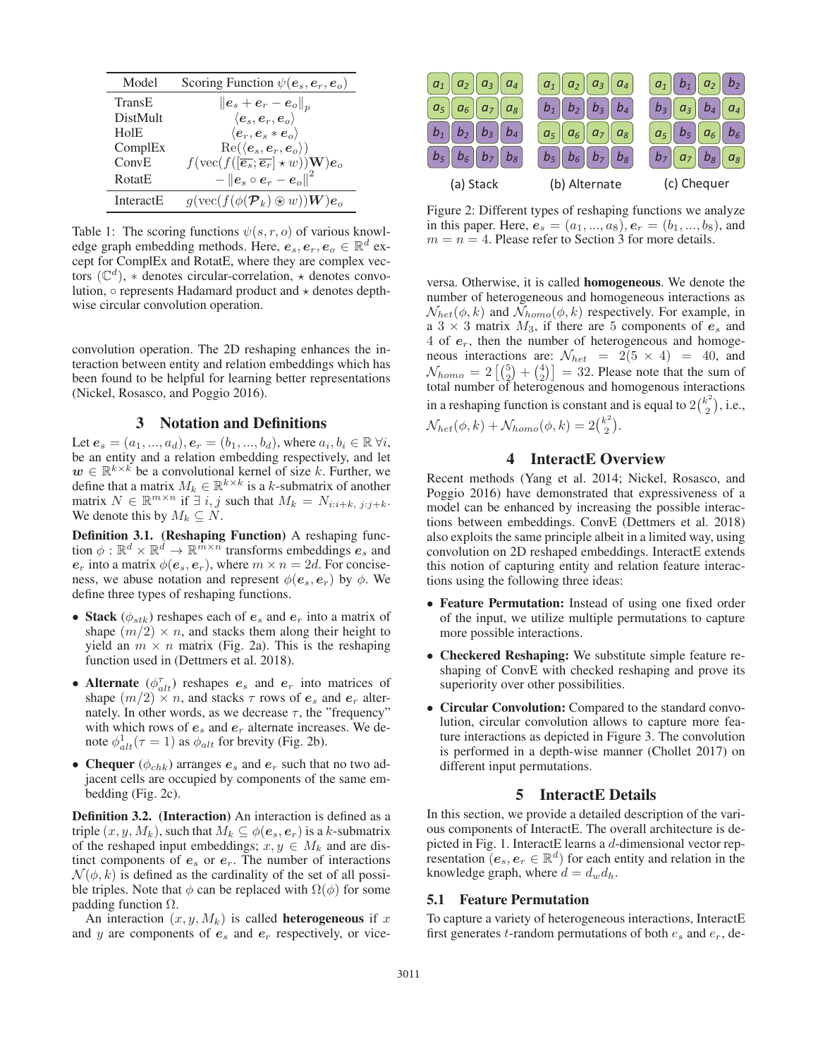| Model            | Scoring Function $\psi(\mathbf{e}_s, \mathbf{e}_r, \mathbf{e}_o)$                                   |
|------------------|-----------------------------------------------------------------------------------------------------|
| TransE           | $\left\ \boldsymbol{e}_s+\boldsymbol{e}_r-\boldsymbol{e}_o\right\ _p$                               |
| <b>DistMult</b>  | $\langle e_s, e_r, e_o \rangle$                                                                     |
| HolE             | $\langle e_r, e_s * e_o \rangle$                                                                    |
| ComplEx          | $Re(\langle e_s, e_r, e_o \rangle)$                                                                 |
| ConvE            | $f(\text{vec}(f([\overline{\mathbf{e}_s}; \overline{\mathbf{e}_r}]\star w))\mathbf{W})\mathbf{e}_o$ |
| <b>RotatE</b>    | $-\left\ \bm{e}_s\circ \bm{e}_r-\bm{e}_o\right\ ^2$                                                 |
| <b>InteractE</b> | $g(\text{vec}(f(\phi(\mathcal{P}_k)\otimes w))\mathbf{W})\mathbf{e}_o$                              |

Table 1: The scoring functions  $\psi(s, r, o)$  of various knowledge graph embedding methods. Here,  $e_s, e_r, e_o \in \mathbb{R}^d$  except for ComplEx and RotatE, where they are complex vectors ( $\mathbb{C}^d$ ),  $*$  denotes circular-correlation,  $*$  denotes convolution,  $\circ$  represents Hadamard product and  $\star$  denotes depthwise circular convolution operation.

convolution operation. The 2D reshaping enhances the interaction between entity and relation embeddings which has been found to be helpful for learning better representations (Nickel, Rosasco, and Poggio 2016).

### 3 Notation and Definitions

Let  $e_s = (a_1, ..., a_d), e_r = (b_1, ..., b_d)$ , where  $a_i, b_i \in \mathbb{R} \forall i$ , be an entity and a relation embedding respectively, and let  $w \in \mathbb{R}^{k \times k}$  be a convolutional kernel of size k. Further, we define that a matrix  $M_k \in \mathbb{R}^{k \times k}$  is a k-submatrix of another matrix  $N \in \mathbb{R}^{m \times n}$  if  $\exists i, j$  such that  $M_k = N_{i:i+k, j:j+k}$ . We denote this by  $M_k \subseteq N$ .

Definition 3.1. (Reshaping Function) A reshaping function  $\phi : \mathbb{R}^d \times \mathbb{R}^d \to \mathbb{R}^{\bar{m} \times \bar{n}}$  transforms embeddings  $e_s$  and  $e_r$  into a matrix  $\phi(e_s, e_r)$ , where  $m \times n = 2d$ . For conciseness, we abuse notation and represent  $\phi(e_s, e_r)$  by  $\phi$ . We define three types of reshaping functions.

- Stack  $(\phi_{stk})$  reshapes each of  $e_s$  and  $e_r$  into a matrix of shape  $(m/2) \times n$ , and stacks them along their height to yield an  $m \times n$  matrix (Fig. 2a). This is the reshaping function used in (Dettmers et al. 2018).
- Alternate  $(\phi_{alt}^{\tau})$  reshapes  $e_s$  and  $e_r$  into matrices of shape  $(m/2) \times n$ , and stacks  $\tau$  rows of  $e_s$  and  $e_r$  alternately. In other words, as we decrease  $\tau$ , the "frequency" with which rows of  $e_s$  and  $e_r$  alternate increases. We denote  $\phi_{alt}^1(\tau = 1)$  as  $\phi_{alt}$  for brevity (Fig. 2b).
- Chequer ( $\phi_{chk}$ ) arranges  $e_s$  and  $e_r$  such that no two adjacent cells are occupied by components of the same embedding (Fig. 2c).

Definition 3.2. (Interaction) An interaction is defined as a triple  $(x, y, M_k)$ , such that  $M_k \subseteq \phi(e_s, e_r)$  is a k-submatrix of the reshaped input embeddings;  $x, y \in M_k$  and are distinct components of  $e_s$  or  $e_r$ . The number of interactions  $\mathcal{N}(\phi, k)$  is defined as the cardinality of the set of all possible triples. Note that  $\phi$  can be replaced with  $\Omega(\phi)$  for some padding function  $Ω$ .

An interaction  $(x, y, M_k)$  is called **heterogeneous** if x and y are components of  $e_s$  and  $e_r$  respectively, or vice-



Figure 2: Different types of reshaping functions we analyze in this paper. Here,  $e_s = (a_1, ..., a_8), e_r = (b_1, ..., b_8)$ , and  $m = n = 4$ . Please refer to Section 3 for more details.

versa. Otherwise, it is called homogeneous. We denote the number of heterogeneous and homogeneous interactions as  $\mathcal{N}_{het}(\phi, k)$  and  $\mathcal{N}_{homo}(\phi, k)$  respectively. For example, in a  $3 \times 3$  matrix  $M_3$ , if there are 5 components of  $e_s$  and 4 of *e*r, then the number of heterogeneous and homogeneous interactions are:  $\mathcal{N}_{het} = 2(5 \times 4) = 40$ , and  $N_{homo} = 2\left[\binom{5}{2} + \binom{4}{2}\right] = 32$ . Please note that the sum of total number of heterogenous and homogenous interactions in a reshaping function is constant and is equal to  $2\binom{k^2}{2}$ , i.e.,  $\mathcal{N}_{het}(\phi, k) + \mathcal{N}_{homo}(\phi, k) = 2\binom{k^2}{2}.$ 

### 4 InteractE Overview

Recent methods (Yang et al. 2014; Nickel, Rosasco, and Poggio 2016) have demonstrated that expressiveness of a model can be enhanced by increasing the possible interactions between embeddings. ConvE (Dettmers et al. 2018) also exploits the same principle albeit in a limited way, using convolution on 2D reshaped embeddings. InteractE extends this notion of capturing entity and relation feature interactions using the following three ideas:

- Feature Permutation: Instead of using one fixed order of the input, we utilize multiple permutations to capture more possible interactions.
- Checkered Reshaping: We substitute simple feature reshaping of ConvE with checked reshaping and prove its superiority over other possibilities.
- Circular Convolution: Compared to the standard convolution, circular convolution allows to capture more feature interactions as depicted in Figure 3. The convolution is performed in a depth-wise manner (Chollet 2017) on different input permutations.

### 5 InteractE Details

In this section, we provide a detailed description of the various components of InteractE. The overall architecture is depicted in Fig. 1. InteractE learns a d-dimensional vector representation  $(e_s, e_r \in \mathbb{R}^d)$  for each entity and relation in the knowledge graph, where  $d = d_w d_h$ .

### 5.1 Feature Permutation

To capture a variety of heterogeneous interactions, InteractE first generates t-random permutations of both  $e_s$  and  $e_r$ , de-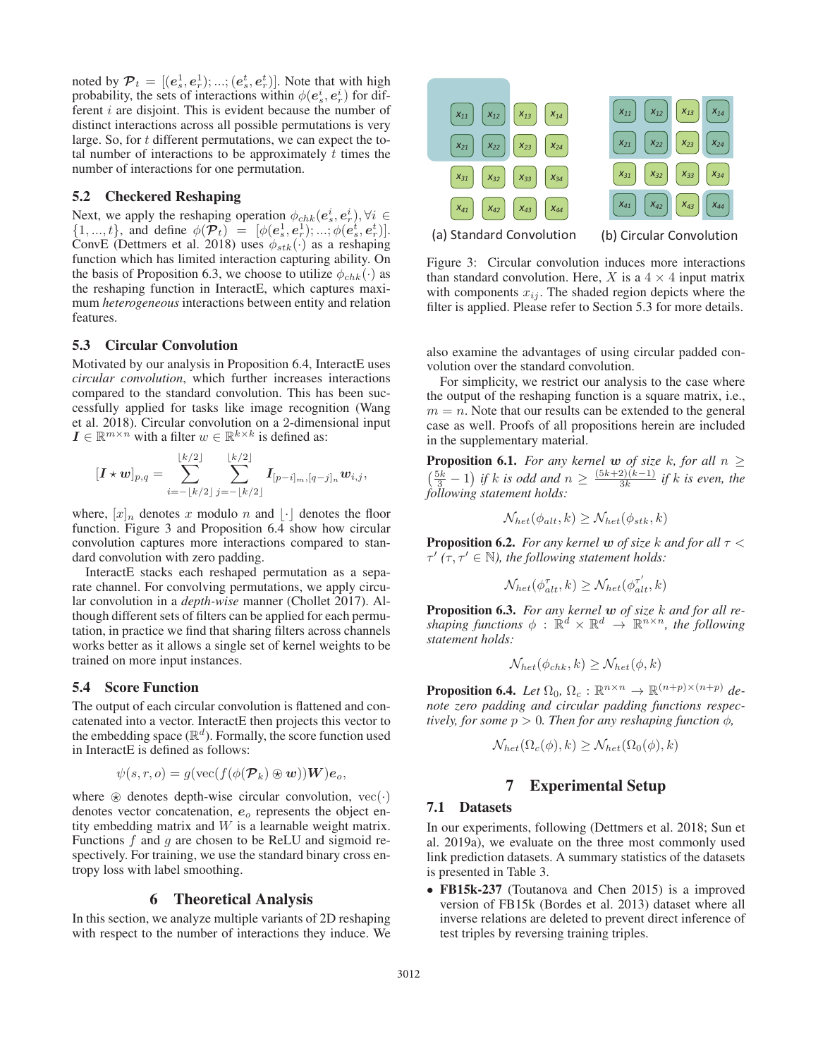noted by  $P_t = [(e_s^1, e_r^1); \dots; (e_s^t, e_r^t)]$ . Note that with high probability, the sets of interactions within  $\phi(e_s^i, e_r^i)$  for different  $i$  are disjoint. This is evident because the number of distinct interactions across all possible permutations is very large. So, for t different permutations, we can expect the total number of interactions to be approximately  $t$  times the number of interactions for one permutation.

### 5.2 Checkered Reshaping

Next, we apply the reshaping operation  $\phi_{chk}(e^i_s, e^i_r), \forall i \in$  $\{1, ..., t\}$ , and define  $\phi(\mathcal{P}_t) = [\phi(e_s^1, e_r^1); ..., \phi(e_s^t, e_r^t)].$ ConvE (Dettmers et al. 2018) uses  $\phi_{stk}(\cdot)$  as a reshaping function which has limited interaction capturing ability. On the basis of Proposition 6.3, we choose to utilize  $\phi_{chk}(\cdot)$  as the reshaping function in InteractE, which captures maximum *heterogeneous* interactions between entity and relation features.

#### 5.3 Circular Convolution

Motivated by our analysis in Proposition 6.4, InteractE uses *circular convolution*, which further increases interactions compared to the standard convolution. This has been successfully applied for tasks like image recognition (Wang et al. 2018). Circular convolution on a 2-dimensional input  $I \in \mathbb{R}^{m \times n}$  with a filter  $w \in \mathbb{R}^{k \times k}$  is defined as:

$$
[\boldsymbol{I} \star \boldsymbol{w}]_{p,q} = \sum_{i=-\lfloor k/2 \rfloor}^{\lfloor k/2 \rfloor} \sum_{j=-\lfloor k/2 \rfloor}^{\lfloor k/2 \rfloor} \boldsymbol{I}_{[p-i]_m,[q-j]_n} \boldsymbol{w}_{i,j},
$$

where,  $[x]_n$  denotes x modulo n and  $\lfloor \cdot \rfloor$  denotes the floor function. Figure 3 and Proposition 6.4 show how circular convolution captures more interactions compared to standard convolution with zero padding.

InteractE stacks each reshaped permutation as a separate channel. For convolving permutations, we apply circular convolution in a *depth-wise* manner (Chollet 2017). Although different sets of filters can be applied for each permutation, in practice we find that sharing filters across channels works better as it allows a single set of kernel weights to be trained on more input instances.

#### 5.4 Score Function

The output of each circular convolution is flattened and concatenated into a vector. InteractE then projects this vector to the embedding space  $(\mathbb{R}^d)$ . Formally, the score function used in InteractE is defined as follows:

$$
\psi(s,r,o) = g(\text{vec}(f(\phi(\mathcal{P}_k) \otimes \boldsymbol{w}))\boldsymbol{W})\boldsymbol{e}_o,
$$

where  $\otimes$  denotes depth-wise circular convolution, vec $(\cdot)$ denotes vector concatenation,  $e_o$  represents the object entity embedding matrix and  $W$  is a learnable weight matrix. Functions  $f$  and  $g$  are chosen to be ReLU and sigmoid respectively. For training, we use the standard binary cross entropy loss with label smoothing.

### 6 Theoretical Analysis

In this section, we analyze multiple variants of 2D reshaping with respect to the number of interactions they induce. We



Figure 3: Circular convolution induces more interactions than standard convolution. Here, X is a  $4 \times 4$  input matrix with components  $x_{ij}$ . The shaded region depicts where the filter is applied. Please refer to Section 5.3 for more details.

also examine the advantages of using circular padded convolution over the standard convolution.

For simplicity, we restrict our analysis to the case where the output of the reshaping function is a square matrix, i.e.,  $m = n$ . Note that our results can be extended to the general case as well. Proofs of all propositions herein are included in the supplementary material.

**Proposition 6.1.** *For any kernel w of size k, for all*  $n \ge$  $\left(\frac{5k}{3}-1\right)$  *if k is odd and*  $n ≥ \frac{(5k+2)(k-1)}{3k}$  *if k is even, the following statement holds:*

$$
\mathcal{N}_{het}(\phi_{alt}, k) \geq \mathcal{N}_{het}(\phi_{stk}, k)
$$

**Proposition 6.2.** *For any kernel*  $w$  *of size*  $k$  *and for all*  $\tau$  <  $\tau'$  ( $\tau, \tau' \in \mathbb{N}$ ), the following statement holds:

$$
\mathcal{N}_{het}(\phi_{alt}^{\tau}, k) \ge \mathcal{N}_{het}(\phi_{alt}^{\tau'}, k)
$$

Proposition 6.3. *For any kernel w of size* k *and for all reshaping functions*  $\phi$  :  $\mathbb{R}^d \times \mathbb{R}^d \to \mathbb{R}^{n \times n}$ *, the following statement holds:*

$$
\mathcal{N}_{het}(\phi_{chk}, k) \ge \mathcal{N}_{het}(\phi, k)
$$

**Proposition 6.4.** *Let*  $\Omega_0$ ,  $\Omega_c$  :  $\mathbb{R}^{n \times n} \to \mathbb{R}^{(n+p)\times(n+p)}$  *denote zero padding and circular padding functions respectively, for some*  $p > 0$ *. Then for any reshaping function*  $\phi$ *,* 

$$
\mathcal{N}_{het}(\Omega_c(\phi), k) \ge \mathcal{N}_{het}(\Omega_0(\phi), k)
$$

## 7 Experimental Setup

#### 7.1 Datasets

In our experiments, following (Dettmers et al. 2018; Sun et al. 2019a), we evaluate on the three most commonly used link prediction datasets. A summary statistics of the datasets is presented in Table 3.

• FB15k-237 (Toutanova and Chen 2015) is a improved version of FB15k (Bordes et al. 2013) dataset where all inverse relations are deleted to prevent direct inference of test triples by reversing training triples.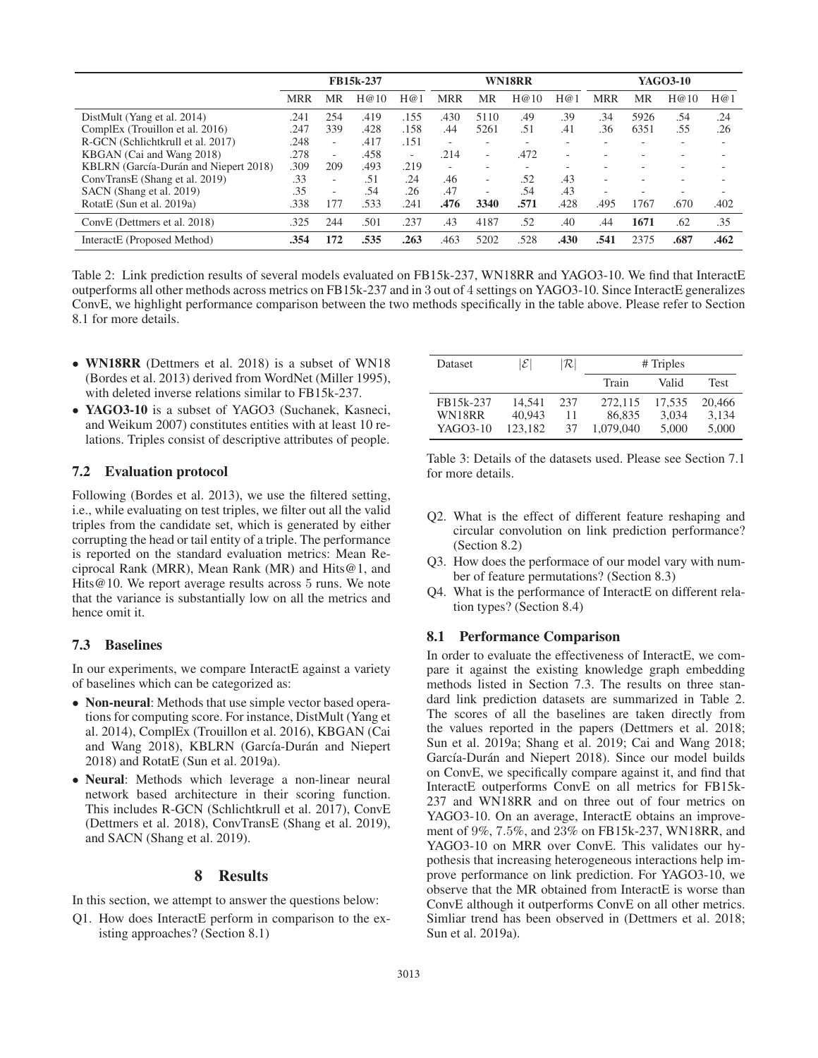|                                       | FB15k-237  |                          |      | WN18RR                   |            |                          |                          | YAGO3-10 |                          |                          |                          |                          |
|---------------------------------------|------------|--------------------------|------|--------------------------|------------|--------------------------|--------------------------|----------|--------------------------|--------------------------|--------------------------|--------------------------|
|                                       | <b>MRR</b> | MR                       | H@10 | H@1                      | <b>MRR</b> | MR                       | H@10                     | H@1      | <b>MRR</b>               | MR                       | H@10                     | H@1                      |
| DistMult (Yang et al. 2014)           | .241       | 254                      | .419 | .155                     | .430       | 5110                     | .49                      | .39      | .34                      | 5926                     | .54                      | .24                      |
| ComplEx (Trouillon et al. 2016)       | .247       | 339                      | .428 | .158                     | .44        | 5261                     | .51                      | .41      | .36                      | 6351                     | .55                      | .26                      |
| R-GCN (Schlichtkrull et al. 2017)     | .248       | $\overline{\phantom{a}}$ | .417 | .151                     | ٠          | $\overline{\phantom{a}}$ | $\overline{\phantom{a}}$ |          | $\overline{\phantom{0}}$ | $\overline{\phantom{a}}$ | $\overline{\phantom{a}}$ | $\overline{\phantom{a}}$ |
| KBGAN (Cai and Wang 2018)             | .278       | ٠                        | .458 | $\overline{\phantom{a}}$ | .214       | $\overline{\phantom{a}}$ | .472                     |          |                          |                          |                          |                          |
| KBLRN (García-Durán and Niepert 2018) | .309       | 209                      | .493 | .219                     | ٠          | -                        | $\overline{\phantom{a}}$ |          |                          |                          |                          |                          |
| ConvTransE (Shang et al. 2019)        | .33        | $\overline{\phantom{a}}$ | .51  | .24                      | .46        | $\overline{\phantom{a}}$ | .52                      | .43      | $\sim$                   | $\overline{\phantom{a}}$ |                          |                          |
| SACN (Shang et al. 2019)              | .35        | $\overline{\phantom{a}}$ | .54  | .26                      | .47        | $\overline{\phantom{a}}$ | .54                      | .43      | $\sim$                   | $\overline{\phantom{a}}$ |                          |                          |
| RotatE (Sun et al. 2019a)             | .338       | 177                      | .533 | .241                     | .476       | 3340                     | .571                     | .428     | .495                     | 1767                     | .670                     | .402                     |
| ConvE (Dettmers et al. 2018)          | .325       | 244                      | .501 | .237                     | .43        | 4187                     | .52                      | .40      | .44                      | 1671                     | .62                      | .35                      |
| InteractE (Proposed Method)           | .354       | 172                      | .535 | .263                     | .463       | 5202                     | .528                     | .430     | .541                     | 2375                     | .687                     | .462                     |

Table 2: Link prediction results of several models evaluated on FB15k-237, WN18RR and YAGO3-10. We find that InteractE outperforms all other methods across metrics on FB15k-237 and in 3 out of 4 settings on YAGO3-10. Since InteractE generalizes ConvE, we highlight performance comparison between the two methods specifically in the table above. Please refer to Section 8.1 for more details.

- WN18RR (Dettmers et al. 2018) is a subset of WN18 (Bordes et al. 2013) derived from WordNet (Miller 1995), with deleted inverse relations similar to FB15k-237.
- YAGO3-10 is a subset of YAGO3 (Suchanek, Kasneci, and Weikum 2007) constitutes entities with at least 10 relations. Triples consist of descriptive attributes of people.

#### 7.2 Evaluation protocol

Following (Bordes et al. 2013), we use the filtered setting, i.e., while evaluating on test triples, we filter out all the valid triples from the candidate set, which is generated by either corrupting the head or tail entity of a triple. The performance is reported on the standard evaluation metrics: Mean Reciprocal Rank (MRR), Mean Rank (MR) and Hits@1, and Hits@10. We report average results across 5 runs. We note that the variance is substantially low on all the metrics and hence omit it.

### 7.3 Baselines

In our experiments, we compare InteractE against a variety of baselines which can be categorized as:

- Non-neural: Methods that use simple vector based operations for computing score. For instance, DistMult (Yang et al. 2014), ComplEx (Trouillon et al. 2016), KBGAN (Cai and Wang 2018), KBLRN (García-Durán and Niepert 2018) and RotatE (Sun et al. 2019a).
- Neural: Methods which leverage a non-linear neural network based architecture in their scoring function. This includes R-GCN (Schlichtkrull et al. 2017), ConvE (Dettmers et al. 2018), ConvTransE (Shang et al. 2019), and SACN (Shang et al. 2019).

# 8 Results

In this section, we attempt to answer the questions below:

Q1. How does InteractE perform in comparison to the existing approaches? (Section 8.1)

| Dataset   | $ \mathcal{E} $ | $ \mathcal{R} $ | # Triples |        |             |  |  |  |
|-----------|-----------------|-----------------|-----------|--------|-------------|--|--|--|
|           |                 |                 | Train     | Valid  | <b>Test</b> |  |  |  |
| FB15k-237 | 14.541          | 237             | 272,115   | 17.535 | 20,466      |  |  |  |
| WN18RR    | 40.943          | 11              | 86,835    | 3.034  | 3,134       |  |  |  |
| YAGO3-10  | 123.182         | 37              | 1,079,040 | 5,000  | 5,000       |  |  |  |

Table 3: Details of the datasets used. Please see Section 7.1 for more details.

- Q2. What is the effect of different feature reshaping and circular convolution on link prediction performance? (Section 8.2)
- Q3. How does the performace of our model vary with number of feature permutations? (Section 8.3)
- Q4. What is the performance of InteractE on different relation types? (Section 8.4)

#### 8.1 Performance Comparison

In order to evaluate the effectiveness of InteractE, we compare it against the existing knowledge graph embedding methods listed in Section 7.3. The results on three standard link prediction datasets are summarized in Table 2. The scores of all the baselines are taken directly from the values reported in the papers (Dettmers et al. 2018; Sun et al. 2019a; Shang et al. 2019; Cai and Wang 2018; García-Durán and Niepert 2018). Since our model builds on ConvE, we specifically compare against it, and find that InteractE outperforms ConvE on all metrics for FB15k-237 and WN18RR and on three out of four metrics on YAGO3-10. On an average, InteractE obtains an improvement of 9%, 7.5%, and 23% on FB15k-237, WN18RR, and YAGO3-10 on MRR over ConvE. This validates our hypothesis that increasing heterogeneous interactions help improve performance on link prediction. For YAGO3-10, we observe that the MR obtained from InteractE is worse than ConvE although it outperforms ConvE on all other metrics. Simliar trend has been observed in (Dettmers et al. 2018; Sun et al. 2019a).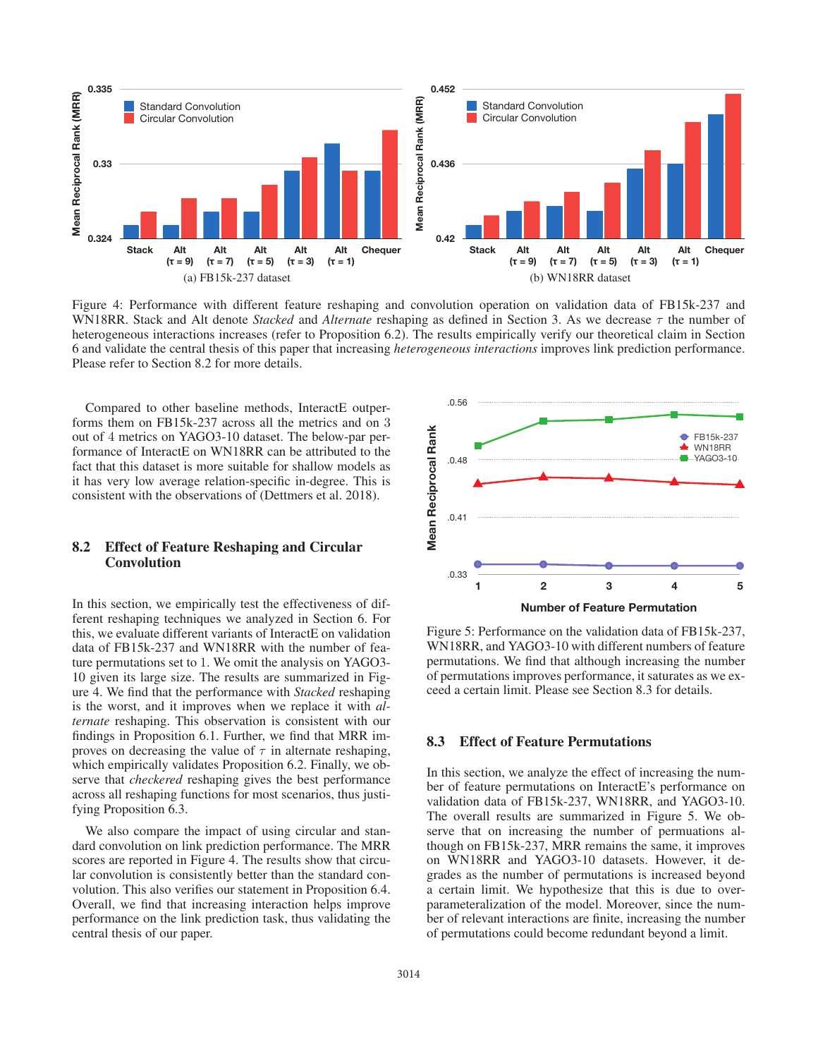

Figure 4: Performance with different feature reshaping and convolution operation on validation data of FB15k-237 and WN18RR. Stack and Alt denote *Stacked* and *Alternate* reshaping as defined in Section 3. As we decrease τ the number of heterogeneous interactions increases (refer to Proposition 6.2). The results empirically verify our theoretical claim in Section 6 and validate the central thesis of this paper that increasing *heterogeneous interactions* improves link prediction performance. Please refer to Section 8.2 for more details.

Compared to other baseline methods, InteractE outperforms them on FB15k-237 across all the metrics and on 3 out of 4 metrics on YAGO3-10 dataset. The below-par performance of InteractE on WN18RR can be attributed to the fact that this dataset is more suitable for shallow models as it has very low average relation-specific in-degree. This is consistent with the observations of (Dettmers et al. 2018).

### 8.2 Effect of Feature Reshaping and Circular Convolution

In this section, we empirically test the effectiveness of different reshaping techniques we analyzed in Section 6. For this, we evaluate different variants of InteractE on validation data of FB15k-237 and WN18RR with the number of feature permutations set to 1. We omit the analysis on YAGO3- 10 given its large size. The results are summarized in Figure 4. We find that the performance with *Stacked* reshaping is the worst, and it improves when we replace it with *alternate* reshaping. This observation is consistent with our findings in Proposition 6.1. Further, we find that MRR improves on decreasing the value of  $\tau$  in alternate reshaping, which empirically validates Proposition 6.2. Finally, we observe that *checkered* reshaping gives the best performance across all reshaping functions for most scenarios, thus justifying Proposition 6.3.

We also compare the impact of using circular and standard convolution on link prediction performance. The MRR scores are reported in Figure 4. The results show that circular convolution is consistently better than the standard convolution. This also verifies our statement in Proposition 6.4. Overall, we find that increasing interaction helps improve performance on the link prediction task, thus validating the central thesis of our paper.



Figure 5: Performance on the validation data of FB15k-237, WN18RR, and YAGO3-10 with different numbers of feature permutations. We find that although increasing the number of permutations improves performance, it saturates as we exceed a certain limit. Please see Section 8.3 for details.

## 8.3 Effect of Feature Permutations

In this section, we analyze the effect of increasing the number of feature permutations on InteractE's performance on validation data of FB15k-237, WN18RR, and YAGO3-10. The overall results are summarized in Figure 5. We observe that on increasing the number of permuations although on FB15k-237, MRR remains the same, it improves on WN18RR and YAGO3-10 datasets. However, it degrades as the number of permutations is increased beyond a certain limit. We hypothesize that this is due to overparameteralization of the model. Moreover, since the number of relevant interactions are finite, increasing the number of permutations could become redundant beyond a limit.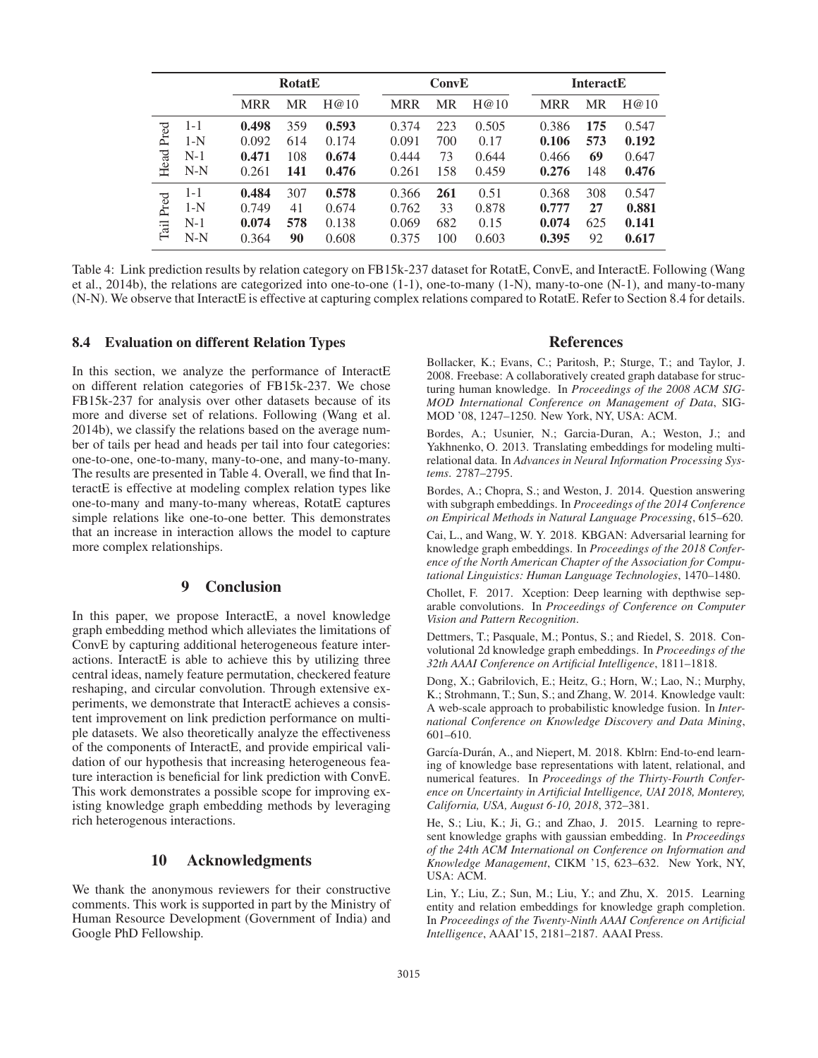|              |                                    | <b>RotatE</b>                    |                          |                                  |                                  | ConvE                   |                                 |                                  | <b>InteractE</b>        |                                  |  |  |
|--------------|------------------------------------|----------------------------------|--------------------------|----------------------------------|----------------------------------|-------------------------|---------------------------------|----------------------------------|-------------------------|----------------------------------|--|--|
|              |                                    | <b>MRR</b>                       | <b>MR</b>                | H@10                             | <b>MRR</b>                       | <b>MR</b>               | H@10                            | <b>MRR</b>                       | MR                      | H@10                             |  |  |
| Pred<br>Head | $1 - 1$<br>$1-N$<br>$N-1$<br>$N-N$ | 0.498<br>0.092<br>0.471<br>0.261 | 359<br>614<br>108<br>141 | 0.593<br>0.174<br>0.674<br>0.476 | 0.374<br>0.091<br>0.444<br>0.261 | 223<br>700<br>73<br>158 | 0.505<br>0.17<br>0.644<br>0.459 | 0.386<br>0.106<br>0.466<br>0.276 | 175<br>573<br>69<br>148 | 0.547<br>0.192<br>0.647<br>0.476 |  |  |
| Pred<br>Tail | $1 - 1$<br>$1-N$<br>$N-1$<br>$N-N$ | 0.484<br>0.749<br>0.074<br>0.364 | 307<br>41<br>578<br>90   | 0.578<br>0.674<br>0.138<br>0.608 | 0.366<br>0.762<br>0.069<br>0.375 | 261<br>33<br>682<br>100 | 0.51<br>0.878<br>0.15<br>0.603  | 0.368<br>0.777<br>0.074<br>0.395 | 308<br>27<br>625<br>92  | 0.547<br>0.881<br>0.141<br>0.617 |  |  |

Table 4: Link prediction results by relation category on FB15k-237 dataset for RotatE, ConvE, and InteractE. Following (Wang et al., 2014b), the relations are categorized into one-to-one (1-1), one-to-many (1-N), many-to-one (N-1), and many-to-many (N-N). We observe that InteractE is effective at capturing complex relations compared to RotatE. Refer to Section 8.4 for details.

#### 8.4 Evaluation on different Relation Types

In this section, we analyze the performance of InteractE on different relation categories of FB15k-237. We chose FB15k-237 for analysis over other datasets because of its more and diverse set of relations. Following (Wang et al. 2014b), we classify the relations based on the average number of tails per head and heads per tail into four categories: one-to-one, one-to-many, many-to-one, and many-to-many. The results are presented in Table 4. Overall, we find that InteractE is effective at modeling complex relation types like one-to-many and many-to-many whereas, RotatE captures simple relations like one-to-one better. This demonstrates that an increase in interaction allows the model to capture more complex relationships.

# 9 Conclusion

In this paper, we propose InteractE, a novel knowledge graph embedding method which alleviates the limitations of ConvE by capturing additional heterogeneous feature interactions. InteractE is able to achieve this by utilizing three central ideas, namely feature permutation, checkered feature reshaping, and circular convolution. Through extensive experiments, we demonstrate that InteractE achieves a consistent improvement on link prediction performance on multiple datasets. We also theoretically analyze the effectiveness of the components of InteractE, and provide empirical validation of our hypothesis that increasing heterogeneous feature interaction is beneficial for link prediction with ConvE. This work demonstrates a possible scope for improving existing knowledge graph embedding methods by leveraging rich heterogenous interactions.

### 10 Acknowledgments

We thank the anonymous reviewers for their constructive comments. This work is supported in part by the Ministry of Human Resource Development (Government of India) and Google PhD Fellowship.

#### References

Bollacker, K.; Evans, C.; Paritosh, P.; Sturge, T.; and Taylor, J. 2008. Freebase: A collaboratively created graph database for structuring human knowledge. In *Proceedings of the 2008 ACM SIG-MOD International Conference on Management of Data*, SIG-MOD '08, 1247–1250. New York, NY, USA: ACM.

Bordes, A.; Usunier, N.; Garcia-Duran, A.; Weston, J.; and Yakhnenko, O. 2013. Translating embeddings for modeling multirelational data. In *Advances in Neural Information Processing Systems*. 2787–2795.

Bordes, A.; Chopra, S.; and Weston, J. 2014. Question answering with subgraph embeddings. In *Proceedings of the 2014 Conference on Empirical Methods in Natural Language Processing*, 615–620.

Cai, L., and Wang, W. Y. 2018. KBGAN: Adversarial learning for knowledge graph embeddings. In *Proceedings of the 2018 Conference of the North American Chapter of the Association for Computational Linguistics: Human Language Technologies*, 1470–1480.

Chollet, F. 2017. Xception: Deep learning with depthwise separable convolutions. In *Proceedings of Conference on Computer Vision and Pattern Recognition*.

Dettmers, T.; Pasquale, M.; Pontus, S.; and Riedel, S. 2018. Convolutional 2d knowledge graph embeddings. In *Proceedings of the 32th AAAI Conference on Artificial Intelligence*, 1811–1818.

Dong, X.; Gabrilovich, E.; Heitz, G.; Horn, W.; Lao, N.; Murphy, K.; Strohmann, T.; Sun, S.; and Zhang, W. 2014. Knowledge vault: A web-scale approach to probabilistic knowledge fusion. In *International Conference on Knowledge Discovery and Data Mining*, 601–610.

García-Durán, A., and Niepert, M. 2018. Kblrn: End-to-end learning of knowledge base representations with latent, relational, and numerical features. In *Proceedings of the Thirty-Fourth Conference on Uncertainty in Artificial Intelligence, UAI 2018, Monterey, California, USA, August 6-10, 2018*, 372–381.

He, S.; Liu, K.; Ji, G.; and Zhao, J. 2015. Learning to represent knowledge graphs with gaussian embedding. In *Proceedings of the 24th ACM International on Conference on Information and Knowledge Management*, CIKM '15, 623–632. New York, NY, USA: ACM.

Lin, Y.; Liu, Z.; Sun, M.; Liu, Y.; and Zhu, X. 2015. Learning entity and relation embeddings for knowledge graph completion. In *Proceedings of the Twenty-Ninth AAAI Conference on Artificial Intelligence*, AAAI'15, 2181–2187. AAAI Press.